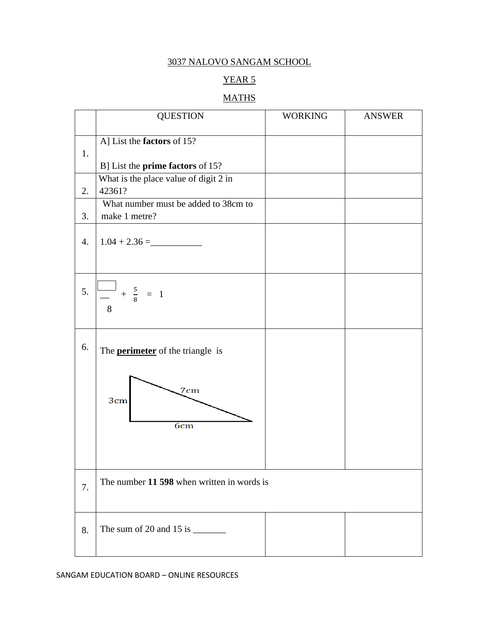# YEAR 5

# **MATHS**

|                  | <b>QUESTION</b>                                                | <b>WORKING</b> | <b>ANSWER</b> |
|------------------|----------------------------------------------------------------|----------------|---------------|
| 1.               | A] List the factors of 15?<br>B] List the prime factors of 15? |                |               |
| 2.               | What is the place value of digit 2 in<br>42361?                |                |               |
| 3.               | What number must be added to 38cm to<br>make 1 metre?          |                |               |
| $\overline{4}$ . | $1.04 + 2.36 =$                                                |                |               |
| 5.               | $\frac{-1}{-} + \frac{5}{8} = 1$<br>8                          |                |               |
| 6.               | The <b>perimeter</b> of the triangle is                        |                |               |
|                  | 7cm<br>3cm<br>6 <sub>cm</sub>                                  |                |               |
| 7.               | The number 11 598 when written in words is                     |                |               |
| 8.               | The sum of 20 and 15 is $\frac{1}{2}$                          |                |               |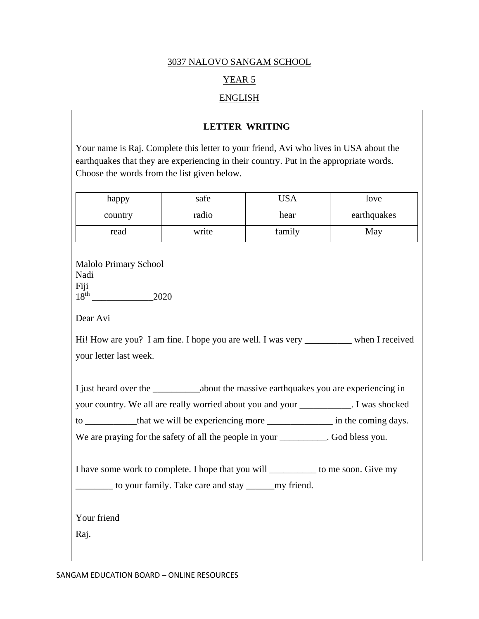# YEAR 5

## ENGLISH

### **LETTER WRITING**

Your name is Raj. Complete this letter to your friend, Avi who lives in USA about the earthquakes that they are experiencing in their country. Put in the appropriate words. Choose the words from the list given below.

| happy                                                                                                                                                      | safe  | <b>USA</b> | love        |  |  |  |  |  |
|------------------------------------------------------------------------------------------------------------------------------------------------------------|-------|------------|-------------|--|--|--|--|--|
| country                                                                                                                                                    | radio | hear       | earthquakes |  |  |  |  |  |
| read                                                                                                                                                       | write | family     | May         |  |  |  |  |  |
| <b>Malolo Primary School</b><br>Nadi<br>Fiji<br>2020<br>Dear Avi<br>Hi! How are you? I am fine. I hope you are well. I was very __________ when I received |       |            |             |  |  |  |  |  |
| your letter last week.                                                                                                                                     |       |            |             |  |  |  |  |  |
|                                                                                                                                                            |       |            |             |  |  |  |  |  |
| your country. We all are really worried about you and your __________. I was shocked                                                                       |       |            |             |  |  |  |  |  |
|                                                                                                                                                            |       |            |             |  |  |  |  |  |
| We are praying for the safety of all the people in your _________. God bless you.                                                                          |       |            |             |  |  |  |  |  |
| I have some work to complete. I hope that you will __________ to me soon. Give my<br>to your family. Take care and stay ________ my friend.                |       |            |             |  |  |  |  |  |
| Your friend                                                                                                                                                |       |            |             |  |  |  |  |  |
| Raj.                                                                                                                                                       |       |            |             |  |  |  |  |  |
|                                                                                                                                                            |       |            |             |  |  |  |  |  |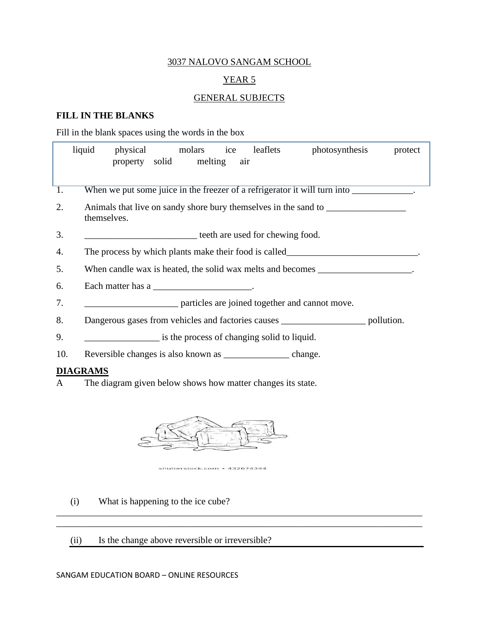# YEAR 5

#### GENERAL SUBJECTS

## **FILL IN THE BLANKS**

Fill in the blank spaces using the words in the box

|                  | liquid      | physical                                                                          |  | molars<br>property solid melting | ice | leaflets<br>air                                                     | photosynthesis                                                                    | protect    |  |
|------------------|-------------|-----------------------------------------------------------------------------------|--|----------------------------------|-----|---------------------------------------------------------------------|-----------------------------------------------------------------------------------|------------|--|
| $\overline{1}$ . |             |                                                                                   |  |                                  |     |                                                                     | When we put some juice in the freezer of a refrigerator it will turn into         |            |  |
| 2.               | themselves. |                                                                                   |  |                                  |     |                                                                     | Animals that live on sandy shore bury themselves in the sand to _________________ |            |  |
| 3.               |             |                                                                                   |  |                                  |     | <b>EXECUTE:</b> teeth are used for chewing food.                    |                                                                                   |            |  |
| 4.               |             | The process by which plants make their food is called                             |  |                                  |     |                                                                     |                                                                                   |            |  |
| 5.               |             | When candle wax is heated, the solid wax melts and becomes _____________________. |  |                                  |     |                                                                     |                                                                                   |            |  |
| 6.               |             | Each matter has a ___________________________.                                    |  |                                  |     |                                                                     |                                                                                   |            |  |
| 7.               |             |                                                                                   |  |                                  |     |                                                                     | <i>marricles are joined together and cannot move.</i>                             |            |  |
| 8.               |             |                                                                                   |  |                                  |     |                                                                     | Dangerous gases from vehicles and factories causes ______________________________ | pollution. |  |
| 9.               |             |                                                                                   |  |                                  |     | is the process of changing solid to liquid.                         |                                                                                   |            |  |
| 10.              |             |                                                                                   |  |                                  |     | Reversible changes is also known as _______________________ change. |                                                                                   |            |  |
| <b>DIAGRAMS</b>  |             |                                                                                   |  |                                  |     |                                                                     |                                                                                   |            |  |

A The diagram given below shows how matter changes its state.



shutterstock.com · 432674344

\_\_\_\_\_\_\_\_\_\_\_\_\_\_\_\_\_\_\_\_\_\_\_\_\_\_\_\_\_\_\_\_\_\_\_\_\_\_\_\_\_\_\_\_\_\_\_\_\_\_\_\_\_\_\_\_\_\_\_\_\_\_\_\_\_\_\_\_\_\_\_\_\_\_\_\_\_\_ \_\_\_\_\_\_\_\_\_\_\_\_\_\_\_\_\_\_\_\_\_\_\_\_\_\_\_\_\_\_\_\_\_\_\_\_\_\_\_\_\_\_\_\_\_\_\_\_\_\_\_\_\_\_\_\_\_\_\_\_\_\_\_\_\_\_\_\_\_\_\_\_\_\_\_\_\_\_

- (i) What is happening to the ice cube?
- (ii) Is the change above reversible or irreversible?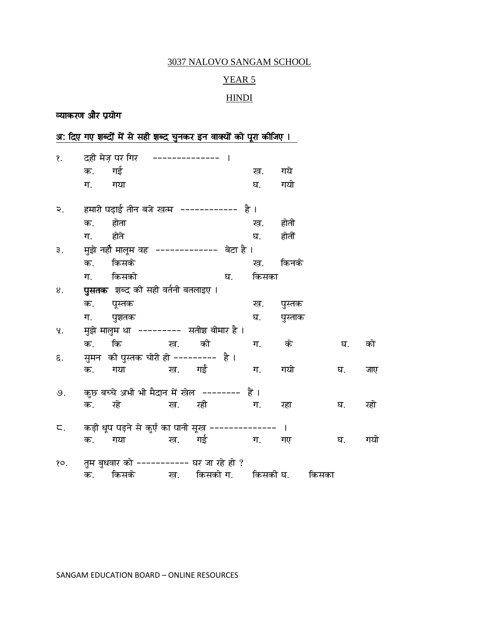# YEAR 5

# **HINDI**

# व्याकरण और प्रयोग

|                |                                              | अ: दिए गए शब्दों में से सही शब्द चुनकर इन वाक्यों को पूरा कीजिए । |                |        |    |       |         |       |     |  |  |
|----------------|----------------------------------------------|-------------------------------------------------------------------|----------------|--------|----|-------|---------|-------|-----|--|--|
| $\delta$ .     |                                              | दही मेज़ पर गिर                                                   | -------------- |        |    |       |         |       |     |  |  |
|                | क.                                           | गई                                                                |                |        |    | ख.    | गये     |       |     |  |  |
|                | ग.                                           | गया                                                               |                |        |    | घ.    | गयो     |       |     |  |  |
| ২.             | हमारी पढ़ाई तीन बजे खत्म ------------ है ।   |                                                                   |                |        |    |       |         |       |     |  |  |
|                | क.                                           | होता                                                              |                |        |    | ख.    | होती    |       |     |  |  |
|                | ग.                                           | होते                                                              |                |        |    | घ.    | होतीं   |       |     |  |  |
| ₹.             | मुझे नहीं मालूम वह  -------------  बेटा है । |                                                                   |                |        |    |       |         |       |     |  |  |
|                | क.                                           | किसके                                                             |                |        |    | ख.    | किनके   |       |     |  |  |
|                |                                              | ग. किसको                                                          |                |        | घ. | किसका |         |       |     |  |  |
| 8.             | <b>पुसतक</b> शब्द की सही वर्तनी बतलाइए ।     |                                                                   |                |        |    |       |         |       |     |  |  |
|                | क.                                           | पूस्तक                                                            |                |        |    | ख.    | पुस्तक  |       |     |  |  |
|                | ग.                                           | पुशतक                                                             |                |        |    | घ.    | पुस्ताक |       |     |  |  |
| ч.             | मुझे मालुम था  ---------  सतीश बीमार है ।    |                                                                   |                |        |    |       |         |       |     |  |  |
|                | क.                                           | कि ख.                                                             |                | की     |    | ग.    | के      | घ.    | को  |  |  |
| ξ.             | सुमन  की पुस्तक चोरी हो ---------  है ।      |                                                                   |                |        |    |       |         |       |     |  |  |
|                |                                              | क. गया   ख. गईं                                                   |                |        |    | ग.    | गयो     | घ.    | जाए |  |  |
| $\mathcal{G}.$ |                                              | कुछ बच्चे अभी भी मैदान में खेल -------- हैं ।                     |                |        |    |       |         |       |     |  |  |
|                | क.                                           | रहे                                                               |                | ख. रही |    | ग.    | रहा     | घ.    | रहो |  |  |
| ς.             |                                              | कड़ी धूप पड़ने से कुएँ का पानी सूख -------------- ।               |                |        |    |       |         |       |     |  |  |
|                | क.                                           | गया                                                               |                | ख. गई  |    | ग.    | गए      | घ.    | गयो |  |  |
| 80.            |                                              | तुम बुधवार को ---------- घर जा रहे हो ?                           |                |        |    |       |         |       |     |  |  |
|                |                                              | क. किसके  ख. किसको $\,$ ग. किसकी $\,$ घ.                          |                |        |    |       |         | किसका |     |  |  |

SANGAM EDUCATION BOARD - ONLINE RESOURCES